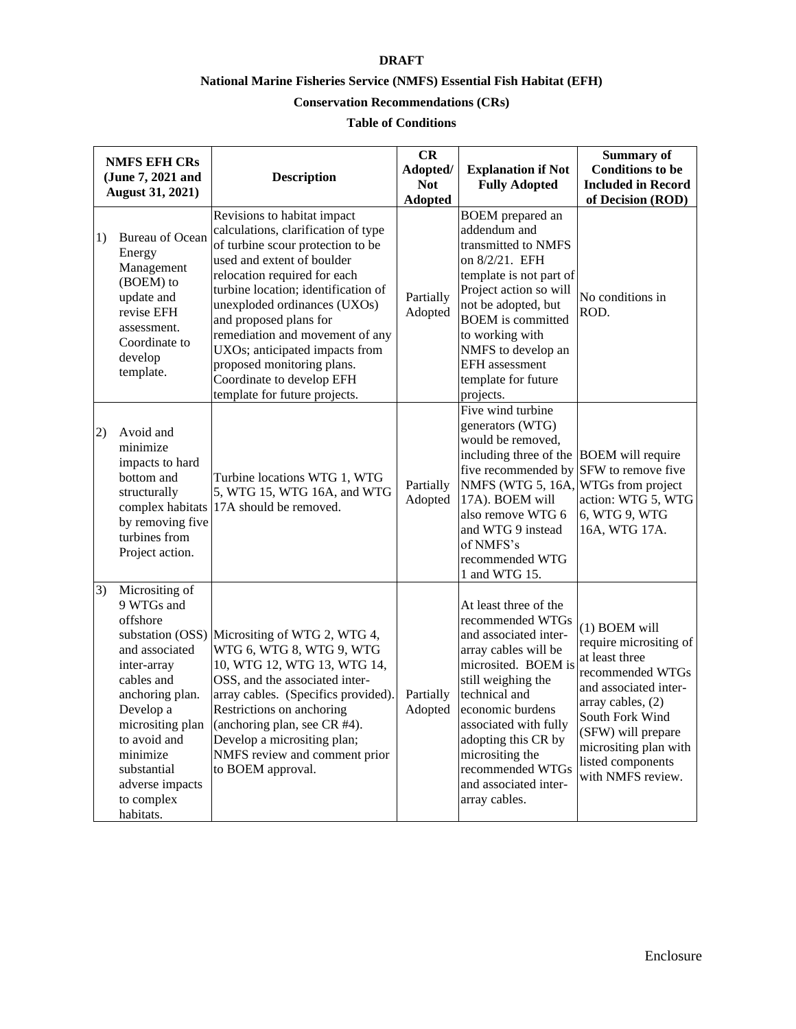## **DRAFT**

## **National Marine Fisheries Service (NMFS) Essential Fish Habitat (EFH)**

## **Conservation Recommendations (CRs)**

## **Table of Conditions**

|    | <b>NMFS EFH CRs</b><br>(June 7, 2021 and<br><b>August 31, 2021)</b>                                                                                                                                                                  | <b>Description</b>                                                                                                                                                                                                                                                                                                                                                                                                                      | CR<br>Adopted/<br><b>Not</b><br><b>Adopted</b> | <b>Explanation if Not</b><br><b>Fully Adopted</b>                                                                                                                                                                                                                                                             | <b>Summary of</b><br><b>Conditions</b> to be<br><b>Included in Record</b><br>of Decision (ROD)                                                                                                                                          |
|----|--------------------------------------------------------------------------------------------------------------------------------------------------------------------------------------------------------------------------------------|-----------------------------------------------------------------------------------------------------------------------------------------------------------------------------------------------------------------------------------------------------------------------------------------------------------------------------------------------------------------------------------------------------------------------------------------|------------------------------------------------|---------------------------------------------------------------------------------------------------------------------------------------------------------------------------------------------------------------------------------------------------------------------------------------------------------------|-----------------------------------------------------------------------------------------------------------------------------------------------------------------------------------------------------------------------------------------|
| 1) | <b>Bureau</b> of Ocean<br>Energy<br>Management<br>(BOEM) to<br>update and<br>revise EFH<br>assessment.<br>Coordinate to<br>develop<br>template.                                                                                      | Revisions to habitat impact<br>calculations, clarification of type<br>of turbine scour protection to be<br>used and extent of boulder<br>relocation required for each<br>turbine location; identification of<br>unexploded ordinances (UXOs)<br>and proposed plans for<br>remediation and movement of any<br>UXOs; anticipated impacts from<br>proposed monitoring plans.<br>Coordinate to develop EFH<br>template for future projects. | Partially<br>Adopted                           | <b>BOEM</b> prepared an<br>addendum and<br>transmitted to NMFS<br>on 8/2/21. EFH<br>template is not part of<br>Project action so will<br>not be adopted, but<br><b>BOEM</b> is committed<br>to working with<br>NMFS to develop an<br><b>EFH</b> assessment<br>template for future<br>projects.                | No conditions in<br>ROD.                                                                                                                                                                                                                |
| 2) | Avoid and<br>minimize<br>impacts to hard<br>bottom and<br>structurally<br>complex habitats<br>by removing five<br>turbines from<br>Project action.                                                                                   | Turbine locations WTG 1, WTG<br>5, WTG 15, WTG 16A, and WTG<br>17A should be removed.                                                                                                                                                                                                                                                                                                                                                   | Partially<br>Adopted                           | Five wind turbine<br>generators (WTG)<br>would be removed,<br>including three of the BOEM will require<br>five recommended by SFW to remove five<br>NMFS (WTG 5, 16A, WTGs from project<br>17A). BOEM will<br>also remove WTG 6<br>and WTG 9 instead<br>of NMFS's<br>recommended WTG<br>1 and WTG 15.         | action: WTG 5, WTG<br>6, WTG 9, WTG<br>16A, WTG 17A.                                                                                                                                                                                    |
| 3) | Micrositing of<br>9 WTGs and<br>offshore<br>and associated<br>inter-array<br>cables and<br>anchoring plan.<br>Develop a<br>micrositing plan<br>to avoid and<br>minimize<br>substantial<br>adverse impacts<br>to complex<br>habitats. | substation (OSS) Micrositing of WTG 2, WTG 4,<br>WTG 6, WTG 8, WTG 9, WTG<br>10, WTG 12, WTG 13, WTG 14,<br>OSS, and the associated inter-<br>array cables. (Specifics provided).<br>Restrictions on anchoring<br>(anchoring plan, see CR #4).<br>Develop a micrositing plan;<br>NMFS review and comment prior<br>to BOEM approval.                                                                                                     | Partially<br>Adopted                           | At least three of the<br>recommended WTGs<br>and associated inter-<br>array cables will be<br>microsited. BOEM is<br>still weighing the<br>technical and<br>economic burdens<br>associated with fully<br>adopting this CR by<br>micrositing the<br>recommended WTGs<br>and associated inter-<br>array cables. | (1) BOEM will<br>require micrositing of<br>at least three<br>recommended WTGs<br>and associated inter-<br>array cables, (2)<br>South Fork Wind<br>(SFW) will prepare<br>micrositing plan with<br>listed components<br>with NMFS review. |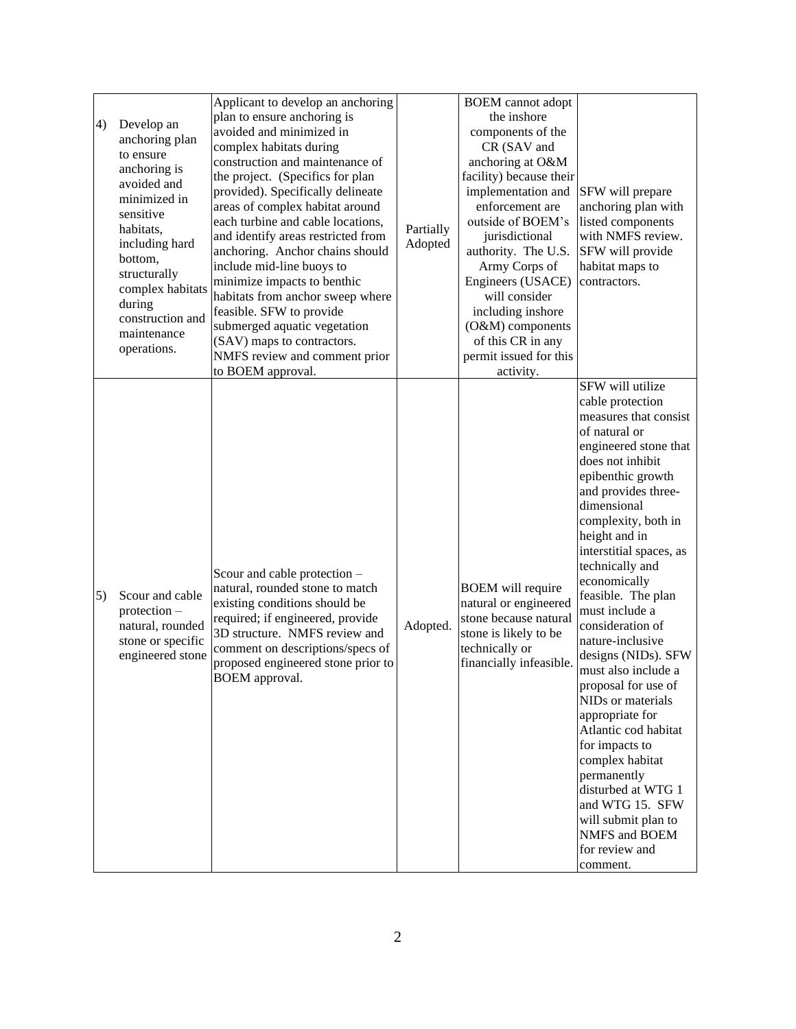|                                                                                                                                                                                                                                                       | Applicant to develop an anchoring                                                                                                                                                                                                                                                                                                                                                                                                                                                                                                                                                               |                      | <b>BOEM</b> cannot adopt                                                                                                                                                                                                                                                                                                                                          |                                                                                                                                                                                                                                                                                                                                                                                                                                                                                                                                                                                                                                                                                                    |
|-------------------------------------------------------------------------------------------------------------------------------------------------------------------------------------------------------------------------------------------------------|-------------------------------------------------------------------------------------------------------------------------------------------------------------------------------------------------------------------------------------------------------------------------------------------------------------------------------------------------------------------------------------------------------------------------------------------------------------------------------------------------------------------------------------------------------------------------------------------------|----------------------|-------------------------------------------------------------------------------------------------------------------------------------------------------------------------------------------------------------------------------------------------------------------------------------------------------------------------------------------------------------------|----------------------------------------------------------------------------------------------------------------------------------------------------------------------------------------------------------------------------------------------------------------------------------------------------------------------------------------------------------------------------------------------------------------------------------------------------------------------------------------------------------------------------------------------------------------------------------------------------------------------------------------------------------------------------------------------------|
| Develop an<br>4)<br>anchoring plan<br>to ensure<br>anchoring is<br>avoided and<br>minimized in<br>sensitive<br>habitats,<br>including hard<br>bottom,<br>structurally<br>complex habitats<br>during<br>construction and<br>maintenance<br>operations. | plan to ensure anchoring is<br>avoided and minimized in<br>complex habitats during<br>construction and maintenance of<br>the project. (Specifics for plan<br>provided). Specifically delineate<br>areas of complex habitat around<br>each turbine and cable locations,<br>and identify areas restricted from<br>anchoring. Anchor chains should<br>include mid-line buoys to<br>minimize impacts to benthic<br>habitats from anchor sweep where<br>feasible. SFW to provide<br>submerged aquatic vegetation<br>(SAV) maps to contractors.<br>NMFS review and comment prior<br>to BOEM approval. | Partially<br>Adopted | the inshore<br>components of the<br>CR (SAV and<br>anchoring at O&M<br>facility) because their<br>implementation and<br>enforcement are<br>outside of BOEM's<br>jurisdictional<br>authority. The U.S.<br>Army Corps of<br>Engineers (USACE)<br>will consider<br>including inshore<br>(O&M) components<br>of this CR in any<br>permit issued for this<br>activity. | SFW will prepare<br>anchoring plan with<br>listed components<br>with NMFS review.<br>SFW will provide<br>habitat maps to<br>contractors.                                                                                                                                                                                                                                                                                                                                                                                                                                                                                                                                                           |
| Scour and cable<br>5)<br>$protection -$<br>natural, rounded<br>stone or specific<br>engineered stone                                                                                                                                                  | Scour and cable protection -<br>natural, rounded stone to match<br>existing conditions should be<br>required; if engineered, provide<br>3D structure. NMFS review and<br>comment on descriptions/specs of<br>proposed engineered stone prior to<br>BOEM approval.                                                                                                                                                                                                                                                                                                                               | Adopted.             | <b>BOEM</b> will require<br>natural or engineered<br>stone because natural<br>stone is likely to be<br>technically or<br>financially infeasible.                                                                                                                                                                                                                  | SFW will utilize<br>cable protection<br>measures that consist<br>of natural or<br>engineered stone that<br>does not inhibit<br>epibenthic growth<br>and provides three-<br>dimensional<br>complexity, both in<br>height and in<br>interstitial spaces, as<br>technically and<br>economically<br>feasible. The plan<br>must include a<br>consideration of<br>nature-inclusive<br>designs (NIDs). SFW<br>must also include a<br>proposal for use of<br>NIDs or materials<br>appropriate for<br>Atlantic cod habitat<br>for impacts to<br>complex habitat<br>permanently<br>disturbed at WTG 1<br>and WTG 15. SFW<br>will submit plan to<br><b>NMFS</b> and <b>BOEM</b><br>for review and<br>comment. |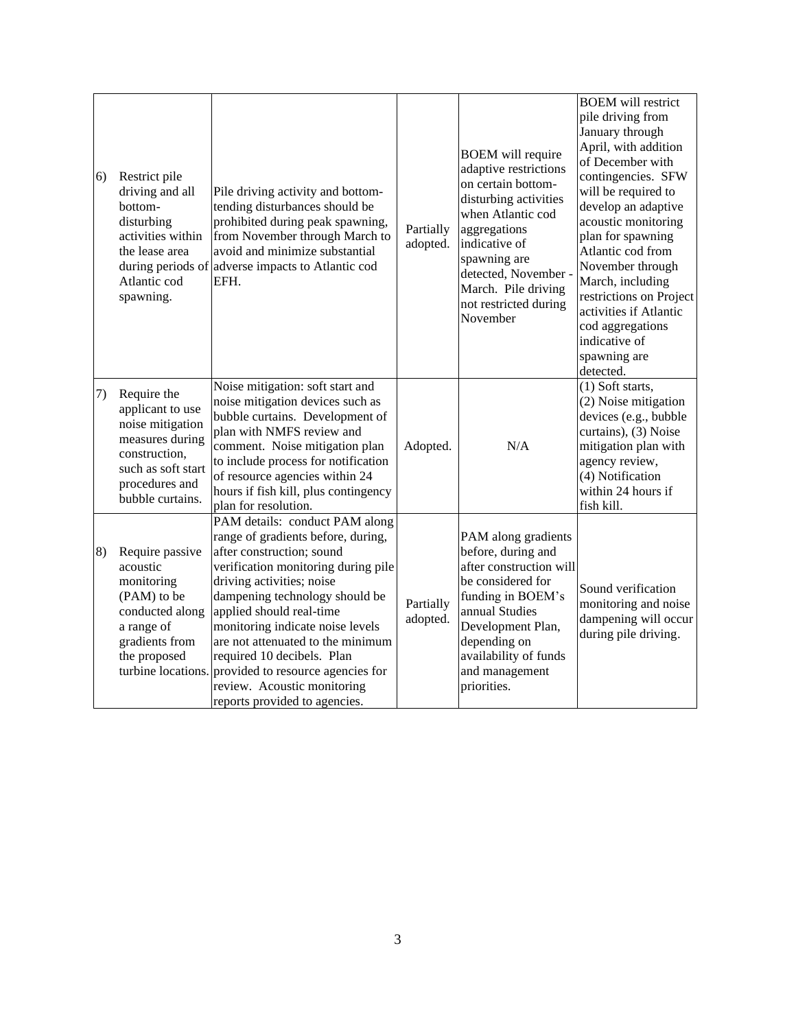| 6) | Restrict pile<br>driving and all<br>bottom-<br>disturbing<br>activities within<br>the lease area<br>Atlantic cod<br>spawning.                       | Pile driving activity and bottom-<br>tending disturbances should be<br>prohibited during peak spawning,<br>from November through March to<br>avoid and minimize substantial<br>during periods of adverse impacts to Atlantic cod<br>EFH.                                                                                                                                                                                                                           | Partially<br>adopted. | <b>BOEM</b> will require<br>adaptive restrictions<br>on certain bottom-<br>disturbing activities<br>when Atlantic cod<br>aggregations<br>indicative of<br>spawning are<br>detected, November -<br>March. Pile driving<br>not restricted during<br>November | <b>BOEM</b> will restrict<br>pile driving from<br>January through<br>April, with addition<br>of December with<br>contingencies. SFW<br>will be required to<br>develop an adaptive<br>acoustic monitoring<br>plan for spawning<br>Atlantic cod from<br>November through<br>March, including<br>restrictions on Project<br>activities if Atlantic<br>cod aggregations<br>indicative of<br>spawning are<br>detected. |
|----|-----------------------------------------------------------------------------------------------------------------------------------------------------|--------------------------------------------------------------------------------------------------------------------------------------------------------------------------------------------------------------------------------------------------------------------------------------------------------------------------------------------------------------------------------------------------------------------------------------------------------------------|-----------------------|------------------------------------------------------------------------------------------------------------------------------------------------------------------------------------------------------------------------------------------------------------|-------------------------------------------------------------------------------------------------------------------------------------------------------------------------------------------------------------------------------------------------------------------------------------------------------------------------------------------------------------------------------------------------------------------|
| 7) | Require the<br>applicant to use<br>noise mitigation<br>measures during<br>construction,<br>such as soft start<br>procedures and<br>bubble curtains. | Noise mitigation: soft start and<br>noise mitigation devices such as<br>bubble curtains. Development of<br>plan with NMFS review and<br>comment. Noise mitigation plan<br>to include process for notification<br>of resource agencies within 24<br>hours if fish kill, plus contingency<br>plan for resolution.                                                                                                                                                    | Adopted.              | N/A                                                                                                                                                                                                                                                        | (1) Soft starts,<br>(2) Noise mitigation<br>devices (e.g., bubble<br>curtains), (3) Noise<br>mitigation plan with<br>agency review,<br>(4) Notification<br>within 24 hours if<br>fish kill.                                                                                                                                                                                                                       |
| 8) | Require passive<br>acoustic<br>monitoring<br>(PAM) to be<br>conducted along<br>a range of<br>gradients from<br>the proposed                         | PAM details: conduct PAM along<br>range of gradients before, during,<br>after construction; sound<br>verification monitoring during pile<br>driving activities; noise<br>dampening technology should be<br>applied should real-time<br>monitoring indicate noise levels<br>are not attenuated to the minimum<br>required 10 decibels. Plan<br>turbine locations. provided to resource agencies for<br>review. Acoustic monitoring<br>reports provided to agencies. | Partially<br>adopted. | PAM along gradients<br>before, during and<br>after construction will<br>be considered for<br>funding in BOEM's<br>annual Studies<br>Development Plan,<br>depending on<br>availability of funds<br>and management<br>priorities.                            | Sound verification<br>monitoring and noise<br>dampening will occur<br>during pile driving.                                                                                                                                                                                                                                                                                                                        |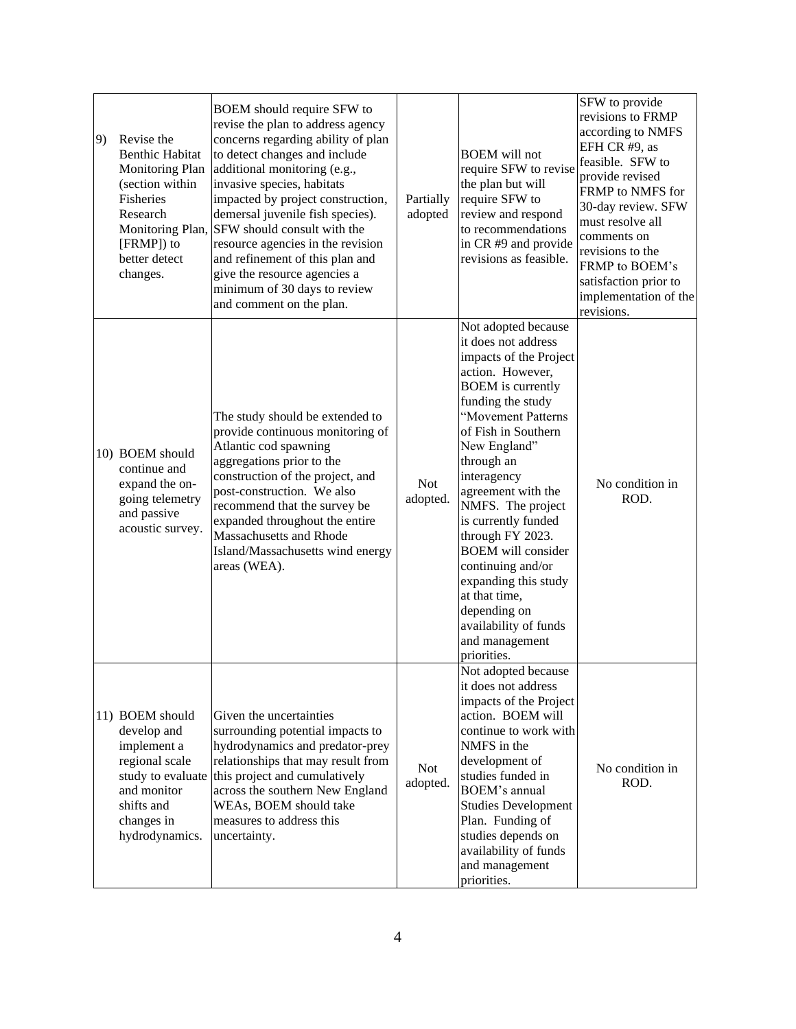| 9) | Revise the<br><b>Benthic Habitat</b><br><b>Monitoring Plan</b><br>(section within<br>Fisheries<br>Research<br>Monitoring Plan,<br>[FRMP]) to<br>better detect<br>changes. | BOEM should require SFW to<br>revise the plan to address agency<br>concerns regarding ability of plan<br>to detect changes and include<br>additional monitoring (e.g.,<br>invasive species, habitats<br>impacted by project construction,<br>demersal juvenile fish species).<br>SFW should consult with the<br>resource agencies in the revision<br>and refinement of this plan and<br>give the resource agencies a<br>minimum of 30 days to review<br>and comment on the plan. | Partially<br>adopted   | <b>BOEM</b> will not<br>require SFW to revise<br>the plan but will<br>require SFW to<br>review and respond<br>to recommendations<br>in CR #9 and provide<br>revisions as feasible.                                                                                                                                                                                                                                                                                                             | SFW to provide<br>revisions to FRMP<br>according to NMFS<br>EFH CR #9, as<br>feasible. SFW to<br>provide revised<br>FRMP to NMFS for<br>30-day review. SFW<br>must resolve all<br>comments on<br>revisions to the<br>FRMP to BOEM's<br>satisfaction prior to<br>implementation of the<br>revisions. |
|----|---------------------------------------------------------------------------------------------------------------------------------------------------------------------------|----------------------------------------------------------------------------------------------------------------------------------------------------------------------------------------------------------------------------------------------------------------------------------------------------------------------------------------------------------------------------------------------------------------------------------------------------------------------------------|------------------------|------------------------------------------------------------------------------------------------------------------------------------------------------------------------------------------------------------------------------------------------------------------------------------------------------------------------------------------------------------------------------------------------------------------------------------------------------------------------------------------------|-----------------------------------------------------------------------------------------------------------------------------------------------------------------------------------------------------------------------------------------------------------------------------------------------------|
|    | 10) BOEM should<br>continue and<br>expand the on-<br>going telemetry<br>and passive<br>acoustic survey.                                                                   | The study should be extended to<br>provide continuous monitoring of<br>Atlantic cod spawning<br>aggregations prior to the<br>construction of the project, and<br>post-construction. We also<br>recommend that the survey be<br>expanded throughout the entire<br>Massachusetts and Rhode<br>Island/Massachusetts wind energy<br>areas (WEA).                                                                                                                                     | <b>Not</b><br>adopted. | Not adopted because<br>it does not address<br>impacts of the Project<br>action. However,<br><b>BOEM</b> is currently<br>funding the study<br>"Movement Patterns<br>of Fish in Southern<br>New England"<br>through an<br>interagency<br>agreement with the<br>NMFS. The project<br>is currently funded<br>through FY 2023.<br><b>BOEM</b> will consider<br>continuing and/or<br>expanding this study<br>at that time,<br>depending on<br>availability of funds<br>and management<br>priorities. | No condition in<br>ROD.                                                                                                                                                                                                                                                                             |
|    | 11) BOEM should<br>develop and<br>implement a<br>regional scale<br>study to evaluate<br>and monitor<br>shifts and<br>changes in<br>hydrodynamics.                         | Given the uncertainties<br>surrounding potential impacts to<br>hydrodynamics and predator-prey<br>relationships that may result from<br>this project and cumulatively<br>across the southern New England<br>WEAs, BOEM should take<br>measures to address this<br>uncertainty.                                                                                                                                                                                                   | <b>Not</b><br>adopted. | Not adopted because<br>it does not address<br>impacts of the Project<br>action. BOEM will<br>continue to work with<br>NMFS in the<br>development of<br>studies funded in<br><b>BOEM's annual</b><br><b>Studies Development</b><br>Plan. Funding of<br>studies depends on<br>availability of funds<br>and management<br>priorities.                                                                                                                                                             | No condition in<br>ROD.                                                                                                                                                                                                                                                                             |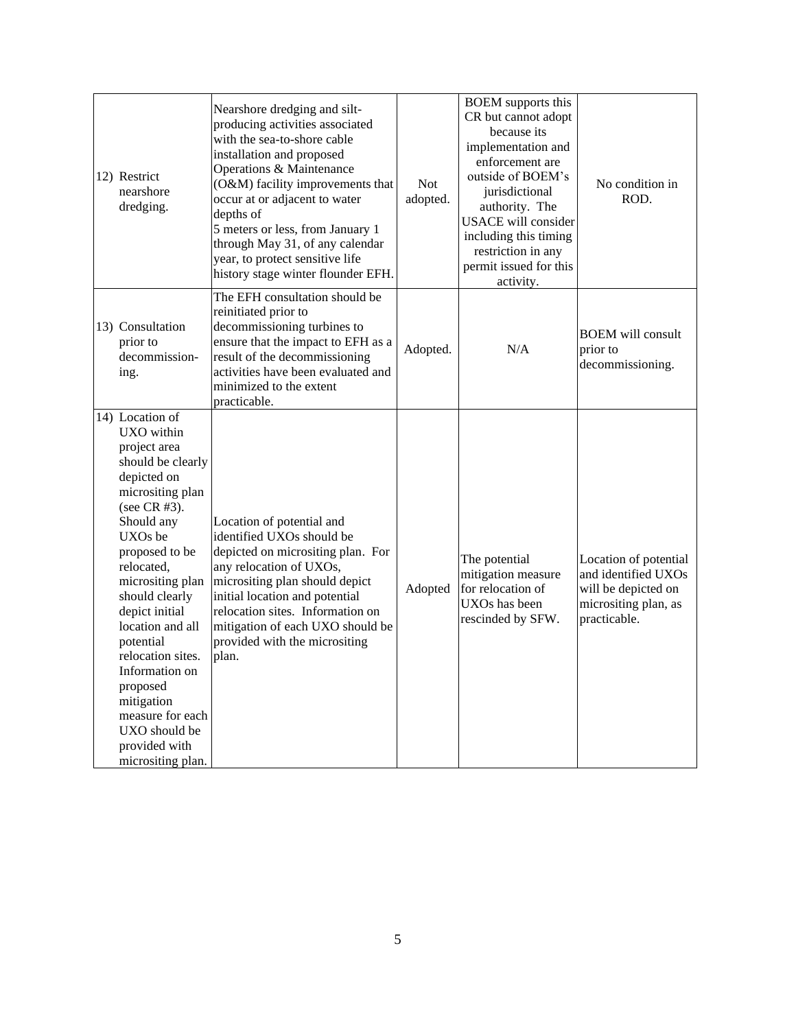| 12) Restrict<br>nearshore<br>dredging.                                                                                                                                                                                                                                                                                                                                                                              | Nearshore dredging and silt-<br>producing activities associated<br>with the sea-to-shore cable<br>installation and proposed<br>Operations & Maintenance<br>(O&M) facility improvements that<br>occur at or adjacent to water<br>depths of<br>5 meters or less, from January 1<br>through May 31, of any calendar<br>year, to protect sensitive life<br>history stage winter flounder EFH. | <b>Not</b><br>adopted. | <b>BOEM</b> supports this<br>CR but cannot adopt<br>because its<br>implementation and<br>enforcement are<br>outside of BOEM's<br>jurisdictional<br>authority. The<br><b>USACE</b> will consider<br>including this timing<br>restriction in any<br>permit issued for this<br>activity. | No condition in<br>ROD.                                                                                     |
|---------------------------------------------------------------------------------------------------------------------------------------------------------------------------------------------------------------------------------------------------------------------------------------------------------------------------------------------------------------------------------------------------------------------|-------------------------------------------------------------------------------------------------------------------------------------------------------------------------------------------------------------------------------------------------------------------------------------------------------------------------------------------------------------------------------------------|------------------------|---------------------------------------------------------------------------------------------------------------------------------------------------------------------------------------------------------------------------------------------------------------------------------------|-------------------------------------------------------------------------------------------------------------|
| 13) Consultation<br>prior to<br>decommission-<br>ing.                                                                                                                                                                                                                                                                                                                                                               | The EFH consultation should be<br>reinitiated prior to<br>decommissioning turbines to<br>ensure that the impact to EFH as a<br>result of the decommissioning<br>activities have been evaluated and<br>minimized to the extent<br>practicable.                                                                                                                                             | Adopted.               | N/A                                                                                                                                                                                                                                                                                   | <b>BOEM</b> will consult<br>prior to<br>decommissioning.                                                    |
| 14) Location of<br>UXO within<br>project area<br>should be clearly<br>depicted on<br>micrositing plan<br>(see CR #3).<br>Should any<br>UXOs be<br>proposed to be<br>relocated,<br>micrositing plan<br>should clearly<br>depict initial<br>location and all<br>potential<br>relocation sites.<br>Information on<br>proposed<br>mitigation<br>measure for each<br>UXO should be<br>provided with<br>micrositing plan. | Location of potential and<br>identified UXOs should be<br>depicted on micrositing plan. For<br>any relocation of UXOs,<br>micrositing plan should depict<br>initial location and potential<br>relocation sites. Information on<br>mitigation of each UXO should be<br>provided with the micrositing<br>plan.                                                                              | Adopted                | The potential<br>mitigation measure<br>for relocation of<br>UXOs has been<br>rescinded by SFW.                                                                                                                                                                                        | Location of potential<br>and identified UXOs<br>will be depicted on<br>micrositing plan, as<br>practicable. |